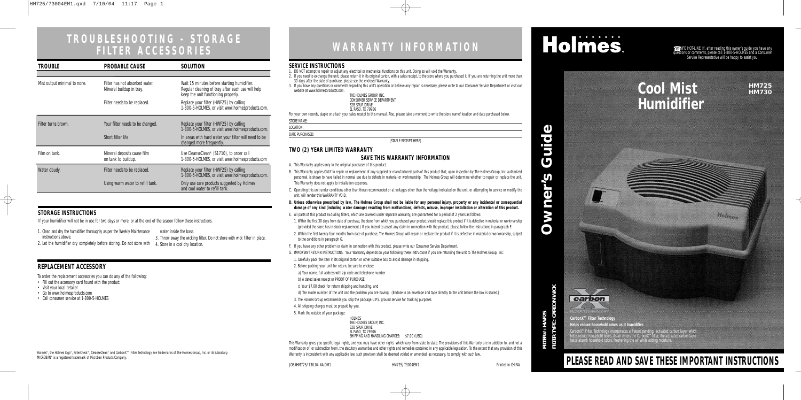| <b>TROUBLE</b>               | <b>PROBABLE CAUSE</b>                                      | <b>SOLUTION</b>                                                                                                                         |  |
|------------------------------|------------------------------------------------------------|-----------------------------------------------------------------------------------------------------------------------------------------|--|
|                              |                                                            |                                                                                                                                         |  |
| Mist output minimal to none. | Filter has not absorbed water.<br>Mineral buildup in tray. | Wait 15 minutes before starting humidifier.<br>Regular cleaning of tray after each use will help<br>keep the unit functioning properly. |  |
|                              | Filter needs to be replaced.                               | Replace your filter (HWF25) by calling<br>1-800-5-HOLMES, or visit www.holmesproducts.com.                                              |  |
| Filter turns brown.          | Your filter needs to be changed.                           | Replace your filter (HWF25) by calling<br>1-800-5-HOLMES, or visit www.holmesproducts.com.                                              |  |
|                              | Short filter life                                          | In areas with hard water your filter will need to be<br>changed more frequently.                                                        |  |
| Film on tank.                | Mineral deposits cause film<br>on tank to buildup.         | Use CleanseClean <sup>®</sup> (S1710), to order call<br>1-800-5-HOLMES, or visit www.holmesproducts.com                                 |  |
| Water cloudy.                | Filter needs to be replaced.                               | Replace your filter (HWF25) by calling<br>1-800-5-HOLMES, or visit www.holmesproducts.com.                                              |  |
|                              | Using warm water to refill tank.                           | Only use care products suggested by Holmes<br>and cool water to refill tank.                                                            |  |

# **Cool Mist Humidifier**

**HM725 HM730**

 $\rightarrow$ 



# **PLEASE READ AND SAVE THESE IMPORTANT INSTRUCTIONS**

**FILTER# : HWF25**

**FILTER TYPE : CARBON WICK**

FILTER# : HWF25<br>FILTER TYPE : CARBON WICK



JOB#HM725/730.04.NA.OM1 HM725/73004EM1 Printed in CHINA

### **SERVICE INSTRUCTIONS**

1. DO NOT attempt to repair or adjust any electrical or mechanical functions on this unit. Doing so will void the Warranty.

2. If you need to exchange the unit, please return it in its original carton, with a sales receipt, to the store where you purchased it. If you are returning the unit more than 30 days after the date of purchase, please see the enclosed Warranty.

3. If you have any questions or comments regarding this unit's operation or believe any repair is necessary, please write to our Consumer Service Department or visit our website at www.holmesproducts.com.

| THE HOLMES GROUP. INC.      |
|-----------------------------|
| CONSUMER SERVICE DEPARTMENT |
| 32B SPUR DRIVE              |
| EL PASO, TX 79906           |

EL PASO, TX 79906<br>For your own records, staple or attach your sales receipt to this manual. Also, please take a moment to write the store name/location and date purchased below.

| STORE NAME: |
|-------------|
|             |

LOCATION: DATE PURCHASED:

(STAPLE RECEIPT HERE)

### **TWO (2) YEAR LIMITED WARRANTY**

### **SAVE THIS WARRANTY INFORMATION**

This Warranty gives you specific legal rights, and you may have other rights which vary from state to state. The provisions of this Warranty are in addition to, and not a modification of, or subtraction from, the statutory warranties and other rights and remedies contained in any applicable legislation. To the extent that any provision of this Warranty is inconsistent with any applicable law, such provision shall be deemed voided or amended, as necessary, to comply with such law.

- A. This Warranty applies only to the original purchaser of this product.
- B. This Warranty applies ONLY to repair or replacement of any supplied or manufactured parts of this product that, upon inspection by The Holmes Group, Inc. authorized personnel, is shown to have failed in normal use due to defects in material or workmanship. The Holmes Group will determine whether to repair or replace the unit. This Warranty does not apply to installation expenses.
- C. Operating this unit under conditions other than those recommended or at voltages other than the voltage indicated on the unit, or attempting to service or modify the unit, will render this WARRANTY VOID.
- **D. Unless otherwise proscribed by law, The Holmes Group shall not be liable for any personal injury, property or any incidental or consequential damage of any kind (including water damage) resulting from malfunctions, defects, misuse, improper installation or alteration of this product.**
- E. All parts of this product excluding filters, which are covered under separate warranty, are guaranteed for a period of 2 years as follows:

 $\bullet$  INFO HOT-LINE: If, after reading this owner's guide you have any questions or comments, please call 1-800-5-HOLMES and a Consumer Service Representative will be happy to assist you.

Holme-

Holmes®, the Holmes logo®, FilterCheck®, CleanseClean® and CarbonX™ Filter Technology are trademarks of The Holmes Group, Inc. or its subsidiary. MICROBAN® is a registered trademark of Microban Products Company.

# WARRANTY INFORMATION **Holmes**.

1. Within the first 30 days from date of purchase, the store from which you purchased your product should replace this product if it is defective in material or workmanship (provided the store has in-stock replacement.) If you intend to assert any claim in connection with the product, please follow the instructions in paragraph F.

- 2. Within the first twenty-four months from date of purchase, The Holmes Group will repair or replace the product if it is defective in material or workmanship, subject to the conditions in paragraph G.
- F. If you have any other problem or claim in connection with this product, please write our Consumer Service Department.
- G. IMPORTANT RETURN INSTRUCTIONS. Your Warranty depends on your following these instructions if you are returning the unit to The Holmes Group, Inc.:
- 1. Carefully pack the item in its original carton or other suitable box to avoid damage in shipping.
- 2. Before packing your unit for return, be sure to enclose:
- a) Your name, full address with zip code and telephone number
- b) A dated sales receipt or PROOF OF PURCHASE,
- c) Your \$7.00 check for return shipping and handling, and
- d) The model number of the unit and the problem you are having. (Enclose in an envelope and tape directly to the unit before the box is sealed.)
- 3. The Holmes Group recommends you ship the package U.P.S. ground service for tracking purposes.
- 4. All shipping charges must be prepaid by you.
- 5. Mark the outside of your package:

HOLMES THE HOLMES GROUP, INC. 32B SPUR DRIVE EL PASO, TX 79906 SHIPPING AND HANDLING CHARGES: \$7.00 (USD)

- 1. Clean and dry the humidifier thoroughly as per the Weekly Maintenance water inside the base. instructions above.
	- 3. Throw away the wicking filter. Do not store with wick filter in place.
- 2. Let the humidifier dry completely before storing. Do not store with 4. Store in a cool dry location.

### **REPLACEMENT ACCESSORY**

To order the replacement accessories you can do any of the following:

- Fill out the accessory card found with the product
- Visit your local retailer
- Go to www.holmesproducts.com
- Call consumer service at 1-800-5-HOLMES

# **TROUBLESHOOTING - STORAGE**

### **STORAGE INSTRUCTIONS**

**CarbonXTM Filter Technology Helps reduce household odors as it humidifies**

CarbonX" Filter Technology incorporates a Patent pending, activated carbon layer which<br>helps reduce household odors. As air enters the CarbonX" filter, the activated carbon layer<br>helps absorb household odors, freshening th

If your humidifier will not be in use for two days or more, or at the end of the season follow these instructions.